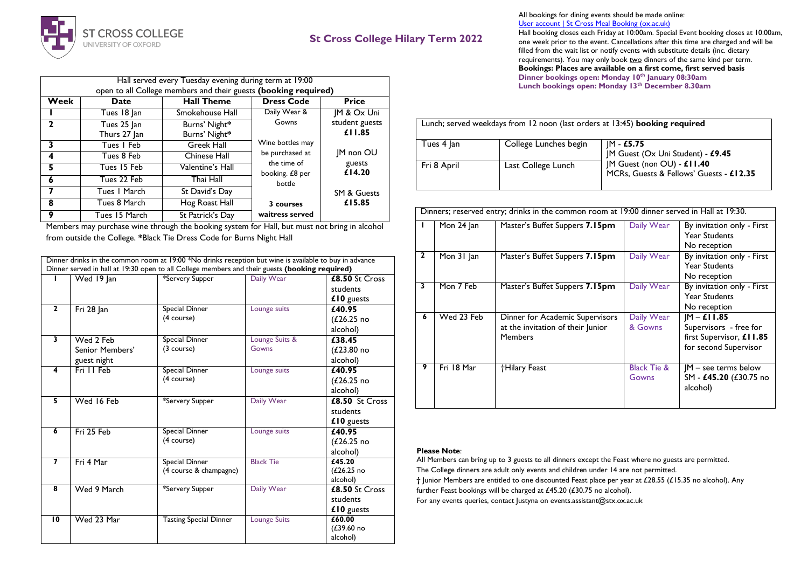

## **St Cross College Hilary Term 2022**

| Hall served every Tuesday evening during term at 19:00          |                             |                                |                                |                          |  |  |
|-----------------------------------------------------------------|-----------------------------|--------------------------------|--------------------------------|--------------------------|--|--|
| open to all College members and their guests (booking required) |                             |                                |                                |                          |  |  |
| Week                                                            | <b>Date</b>                 | <b>Hall Theme</b>              | <b>Dress Code</b>              | <b>Price</b>             |  |  |
|                                                                 | Tues 18 Jan                 | Smokehouse Hall                | Daily Wear &                   | JM & Ox Uni              |  |  |
| $\mathbf{2}$                                                    | Tues 25 Jan<br>Thurs 27 Jan | Burns' Night*<br>Burns' Night* | Gowns                          | student guests<br>£11.85 |  |  |
| 3                                                               | Tues I Feb                  | <b>Greek Hall</b>              | Wine bottles may               |                          |  |  |
| 4                                                               | Tues 8 Feb                  | Chinese Hall                   | be purchased at                | <b>IM non OU</b>         |  |  |
| 5                                                               | Tues 15 Feb                 | Valentine's Hall               | the time of<br>booking. £8 per | guests<br>£14.20         |  |  |
| 6                                                               | Tues 22 Feb                 | Thai Hall                      | bottle                         |                          |  |  |
| 7                                                               | Tues   March                | St David's Day                 |                                | <b>SM &amp; Guests</b>   |  |  |
| 8                                                               | Tues 8 March                | Hog Roast Hall                 | 3 courses                      | £15.85                   |  |  |
| 9                                                               | Tues 15 March               | St Patrick's Day               | waitress served                |                          |  |  |

Members may purchase wine through the booking system for Hall, but must not bring in alcohol from outside the College. **\***Black Tie Dress Code for Burns Night Hall

|                         |                                             | Dinner drinks in the common room at 19:00 *No drinks reception but wine is available to buy in advance<br>Dinner served in hall at 19:30 open to all College members and their guests (booking required) |                         |                                                |
|-------------------------|---------------------------------------------|----------------------------------------------------------------------------------------------------------------------------------------------------------------------------------------------------------|-------------------------|------------------------------------------------|
|                         | Wed 19 Jan                                  | *Servery Supper                                                                                                                                                                                          | Daily Wear              | £8.50 St Cross<br>students<br>£10 guests       |
| $\overline{2}$          | Fri 28 Jan                                  | Special Dinner<br>(4 course)                                                                                                                                                                             | Lounge suits            | £40.95<br>(L26.25 n <sub>o</sub> )<br>alcohol) |
| 3                       | Wed 2 Feb<br>Senior Members'<br>guest night | Special Dinner<br>(3 course)                                                                                                                                                                             | Lounge Suits &<br>Gowns | £38.45<br>(L23.80 no<br>alcohol)               |
| 4                       | Fri II Feb                                  | Special Dinner<br>(4 course)                                                                                                                                                                             | Lounge suits            | £40.95<br>$(L26.25)$ no<br>alcohol)            |
| 5                       | Wed 16 Feb                                  | *Servery Supper                                                                                                                                                                                          | Daily Wear              | £8.50 St Cross<br>students<br>£10 guests       |
| $\overline{6}$          | Fri 25 Feb                                  | <b>Special Dinner</b><br>(4 course)                                                                                                                                                                      | Lounge suits            | £40.95<br>$(L26.25)$ no<br>alcohol)            |
| $\overline{\mathbf{z}}$ | Fri 4 Mar                                   | <b>Black Tie</b><br>Special Dinner<br>(4 course & champagne)                                                                                                                                             |                         | f45.20<br>$(L26.25)$ no<br>alcohol)            |
| $\overline{\mathbf{8}}$ | Wed 9 March                                 | *Servery Supper                                                                                                                                                                                          | Daily Wear              | £8.50 St Cross<br>students<br>£10 guests       |
| $\overline{10}$         | Wed 23 Mar                                  | <b>Tasting Special Dinner</b>                                                                                                                                                                            | <b>Lounge Suits</b>     | £60.00<br>(£39.60 no<br>alcohol)               |

All bookings for dining events should be made online: [User account | St Cross Meal Booking \(ox.ac.uk\)](https://booking.stx.ox.ac.uk/user/login?destination=bookings)

Hall booking closes each Friday at 10:00am. Special Event booking closes at 10:00am, one week prior to the event. Cancellations after this time are charged and will be filled from the wait list or notify events with substitute details (inc. dietary requirements). You may only book two dinners of the same kind per term. **Bookings: Places are available on a first come, first served basis Dinner bookings open: Monday 10th January 08:30am** Lunch bookings open: Monday 13<sup>th</sup> December 8.30am

| Lunch; served weekdays from 12 noon (last orders at 13:45) <b>booking required</b> |                       |                                                                       |  |  |  |
|------------------------------------------------------------------------------------|-----------------------|-----------------------------------------------------------------------|--|--|--|
| Tues 4 Jan                                                                         | College Lunches begin | M - £5.75<br>JM Guest (Ox Uni Student) - £9.45                        |  |  |  |
| Fri 8 April                                                                        | Last College Lunch    | JM Guest (non OU) - £11.40<br>MCRs, Guests & Fellows' Guests - £12.35 |  |  |  |

|              | Dinners; reserved entry; drinks in the common room at 19:00 dinner served in Hall at 19:30. |                                                                                        |                                 |                                                                                             |  |  |
|--------------|---------------------------------------------------------------------------------------------|----------------------------------------------------------------------------------------|---------------------------------|---------------------------------------------------------------------------------------------|--|--|
|              | Mon 24 Jan                                                                                  | Master's Buffet Suppers 7.15pm                                                         | Daily Wear                      | By invitation only - First<br><b>Year Students</b><br>No reception                          |  |  |
| $\mathbf{2}$ | Mon 31 Jan                                                                                  | Master's Buffet Suppers 7.15pm                                                         | Daily Wear                      | By invitation only - First<br><b>Year Students</b><br>No reception                          |  |  |
| 3            | Mon 7 Feb                                                                                   | Master's Buffet Suppers 7.15pm                                                         | Daily Wear                      | By invitation only - First<br><b>Year Students</b><br>No reception                          |  |  |
| 6            | Wed 23 Feb                                                                                  | Dinner for Academic Supervisors<br>at the invitation of their Junior<br><b>Members</b> | Daily Wear<br>& Gowns           | $M - E11.85$<br>Supervisors - free for<br>first Supervisor, £11.85<br>for second Supervisor |  |  |
| 9            | Fri 18 Mar                                                                                  | <b>Hilary Feast</b>                                                                    | <b>Black Tie &amp;</b><br>Gowns | $ M - \text{see terms below}$<br>SM - £45.20 (£30.75 no<br>alcohol)                         |  |  |

## **Please Note**:

All Members can bring up to 3 guests to all dinners except the Feast where no guests are permitted. The College dinners are adult only events and children under 14 are not permitted. **†** Junior Members are entitled to one discounted Feast place per year at £28.55 (£15.35 no alcohol). Any further Feast bookings will be charged at £45.20 (£30.75 no alcohol). For any events queries, contact Justyna on events.assistant@stx.ox.ac.uk